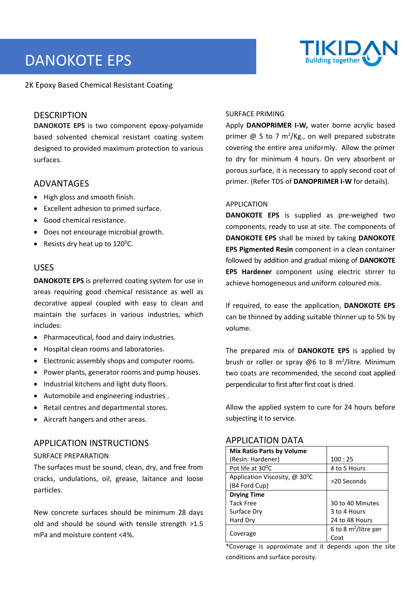# DANOKOTE EPS



2K Epoxy Based Chemical Resistant Coating

# DESCRIPTION

**DANOKOTE EPS** is two component epoxy-polyamide based solvented chemical resistant coating system designed to provided maximum protection to various surfaces.

# ADVANTAGES

- High gloss and smooth finish.
- Excellent adhesion to primed surface.
- Good chemical resistance.
- Does not encourage microbial growth.
- Resists dry heat up to  $120^{\circ}$ C.

# USES

**DANOKOTE EPS** is preferred coating system for use in areas requiring good chemical resistance as well as decorative appeal coupled with easy to clean and maintain the surfaces in various industries, which includes:

- Pharmaceutical, food and dairy industries.
- Hospital clean rooms and laboratories.
- Electronic assembly shops and computer rooms.
- Power plants, generator rooms and pump houses.
- Industrial kitchens and light duty floors.
- Automobile and engineering industries .
- Retail centres and departmental stores.
- Aircraft hangers and other areas.

# APPLICATION INSTRUCTIONS

#### SURFACE PREPARATION

The surfaces must be sound, clean, dry, and free from cracks, undulations, oil, grease, laitance and loose particles.

New concrete surfaces should be minimum 28 days old and should be sound with tensile strength >1.5 mPa and moisture content <4%.

#### SURFACE PRIMING

Apply **DANOPRIMER I-W,** water borne acrylic based primer  $\omega$  5 to 7 m<sup>2</sup>/Kg., on well prepared substrate covering the entire area uniformly. Allow the primer to dry for minimum 4 hours. On very absorbent or porous surface, it is necessary to apply second coat of primer. (Refer TDS of **DANOPRIMER I-W** for details).

#### APPLICATION

**DANOKOTE EPS** is supplied as pre-weighed two components, ready to use at site. The components of **DANOKOTE EPS** shall be mixed by taking **DANOKOTE EPS Pigmented Resin** component in a clean container followed by addition and gradual mixing of **DANOKOTE EPS Hardener** component using electric stirrer to achieve homogeneous and uniform coloured mix.

If required, to ease the application, **DANOKOTE EPS** can be thinned by adding suitable thinner up to 5% by volume.

The prepared mix of **DANOKOTE EPS** is applied by brush or roller or spray @6 to 8 m<sup>2</sup>/litre. Minimum two coats are recommended, the second coat applied perpendicular to first after first coat is dried.

Allow the applied system to cure for 24 hours before subjecting it to service.

| <b>Mix Ratio Parts by Volume</b>                  |                         |  |
|---------------------------------------------------|-------------------------|--|
| (Resin: Hardener)                                 | 100:25                  |  |
| Pot life at 30 <sup>o</sup> C                     | 4 to 5 Hours            |  |
| Application Viscosity, $\omega$ 30 <sup>°</sup> C | >20 Seconds             |  |
| (B4 Ford Cup)                                     |                         |  |
| <b>Drying Time</b>                                |                         |  |
| <b>Tack Free</b>                                  | 30 to 40 Minutes        |  |
| Surface Dry                                       | 3 to 4 Hours            |  |
| Hard Dry                                          | 24 to 48 Hours          |  |
|                                                   | 6 to 8 $m^2$ /litre per |  |
| Coverage                                          | Coat                    |  |

### APPLICATION DATA

\*Coverage is approximate and it depends upon the site conditions and surface porosity.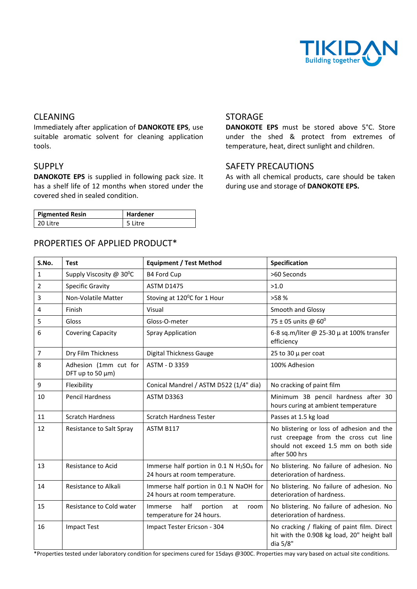

# CLEANING

Immediately after application of **DANOKOTE EPS**, use suitable aromatic solvent for cleaning application tools.

# SUPPLY

**DANOKOTE EPS** is supplied in following pack size. It has a shelf life of 12 months when stored under the covered shed in sealed condition.

| <b>Pigmented Resin</b> | <b>Hardener</b> |
|------------------------|-----------------|
| 20 Litre               | 5 Litre         |

# PROPERTIES OF APPLIED PRODUCT\*

#### STORAGE

**DANOKOTE EPS** must be stored above 5°C. Store under the shed & protect from extremes of temperature, heat, direct sunlight and children.

# SAFETY PRECAUTIONS

As with all chemical products, care should be taken during use and storage of **DANOKOTE EPS.**

| S.No.          | <b>Test</b>                               | <b>Equipment / Test Method</b>                                                                    | Specification                                                                                                                                |
|----------------|-------------------------------------------|---------------------------------------------------------------------------------------------------|----------------------------------------------------------------------------------------------------------------------------------------------|
| $\mathbf{1}$   | Supply Viscosity @ 30°C                   | <b>B4 Ford Cup</b>                                                                                | >60 Seconds                                                                                                                                  |
| 2              | <b>Specific Gravity</b>                   | <b>ASTM D1475</b>                                                                                 | >1.0                                                                                                                                         |
| 3              | Non-Volatile Matter                       | Stoving at 120°C for 1 Hour                                                                       | >58%                                                                                                                                         |
| 4              | Finish                                    | Visual                                                                                            | Smooth and Glossy                                                                                                                            |
| 5              | Gloss                                     | Gloss-O-meter                                                                                     | 75 ± 05 units @ 60°                                                                                                                          |
| 6              | <b>Covering Capacity</b>                  | <b>Spray Application</b>                                                                          | 6-8 sq.m/liter @ 25-30 $\mu$ at 100% transfer<br>efficiency                                                                                  |
| $\overline{7}$ | Dry Film Thickness                        | <b>Digital Thickness Gauge</b>                                                                    | 25 to 30 $\mu$ per coat                                                                                                                      |
| 8              | Adhesion (1mm cut for<br>DFT up to 50 µm) | ASTM - D 3359                                                                                     | 100% Adhesion                                                                                                                                |
| 9              | Flexibility                               | Conical Mandrel / ASTM D522 (1/4" dia)                                                            | No cracking of paint film                                                                                                                    |
| 10             | <b>Pencil Hardness</b>                    | ASTM D3363                                                                                        | Minimum 3B pencil hardness after 30<br>hours curing at ambient temperature                                                                   |
| 11             | <b>Scratch Hardness</b>                   | <b>Scratch Hardness Tester</b>                                                                    | Passes at 1.5 kg load                                                                                                                        |
| 12             | Resistance to Salt Spray                  | ASTM B117                                                                                         | No blistering or loss of adhesion and the<br>rust creepage from the cross cut line<br>should not exceed 1.5 mm on both side<br>after 500 hrs |
| 13             | <b>Resistance to Acid</b>                 | Immerse half portion in 0.1 N H <sub>2</sub> SO <sub>4</sub> for<br>24 hours at room temperature. | No blistering. No failure of adhesion. No<br>deterioration of hardness.                                                                      |
| 14             | Resistance to Alkali                      | Immerse half portion in 0.1 N NaOH for<br>24 hours at room temperature.                           | No blistering. No failure of adhesion. No<br>deterioration of hardness.                                                                      |
| 15             | Resistance to Cold water                  | half<br>Immerse<br>portion<br>at<br>room<br>temperature for 24 hours.                             | No blistering. No failure of adhesion. No<br>deterioration of hardness.                                                                      |
| 16             | <b>Impact Test</b>                        | Impact Tester Ericson - 304                                                                       | No cracking / flaking of paint film. Direct<br>hit with the 0.908 kg load, 20" height ball<br>dia 5/8"                                       |

\*Properties tested under laboratory condition for specimens cured for 15days @300C. Properties may vary based on actual site conditions.